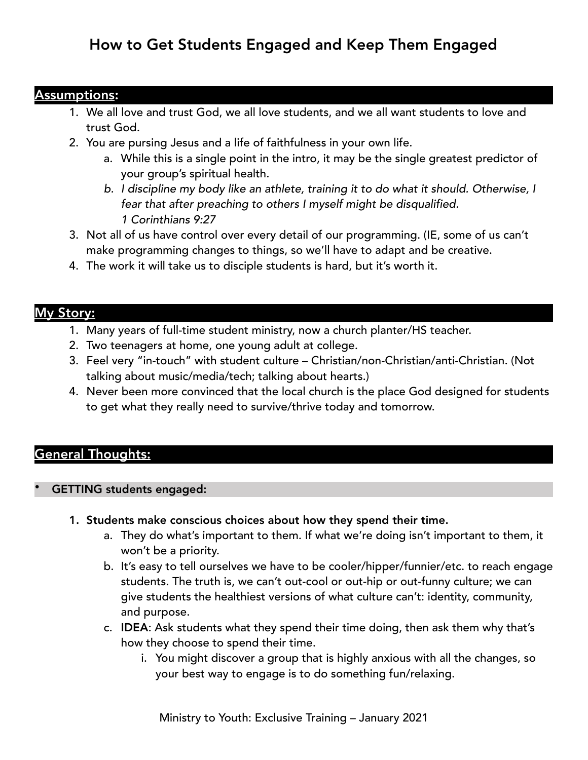# How to Get Students Engaged and Keep Them Engaged

#### Assumptions:

- 1. We all love and trust God, we all love students, and we all want students to love and trust God.
- 2. You are pursing Jesus and a life of faithfulness in your own life.
	- a. While this is a single point in the intro, it may be the single greatest predictor of your group's spiritual health.
	- *b. I discipline my body like an athlete, training it to do what it should. Otherwise, I fear that after preaching to others I myself might be disqualified. 1 Corinthians 9:27*
- 3. Not all of us have control over every detail of our programming. (IE, some of us can't make programming changes to things, so we'll have to adapt and be creative.
- 4. The work it will take us to disciple students is hard, but it's worth it.

## My Story:

- 1. Many years of full-time student ministry, now a church planter/HS teacher.
- 2. Two teenagers at home, one young adult at college.
- 3. Feel very "in-touch" with student culture Christian/non-Christian/anti-Christian. (Not talking about music/media/tech; talking about hearts.)
- 4. Never been more convinced that the local church is the place God designed for students to get what they really need to survive/thrive today and tomorrow.

# General Thoughts:

#### • GETTING students engaged:

- 1. Students make conscious choices about how they spend their time.
	- a. They do what's important to them. If what we're doing isn't important to them, it won't be a priority.
	- b. It's easy to tell ourselves we have to be cooler/hipper/funnier/etc. to reach engage students. The truth is, we can't out-cool or out-hip or out-funny culture; we can give students the healthiest versions of what culture can't: identity, community, and purpose.
	- c. IDEA: Ask students what they spend their time doing, then ask them why that's how they choose to spend their time.
		- i. You might discover a group that is highly anxious with all the changes, so your best way to engage is to do something fun/relaxing.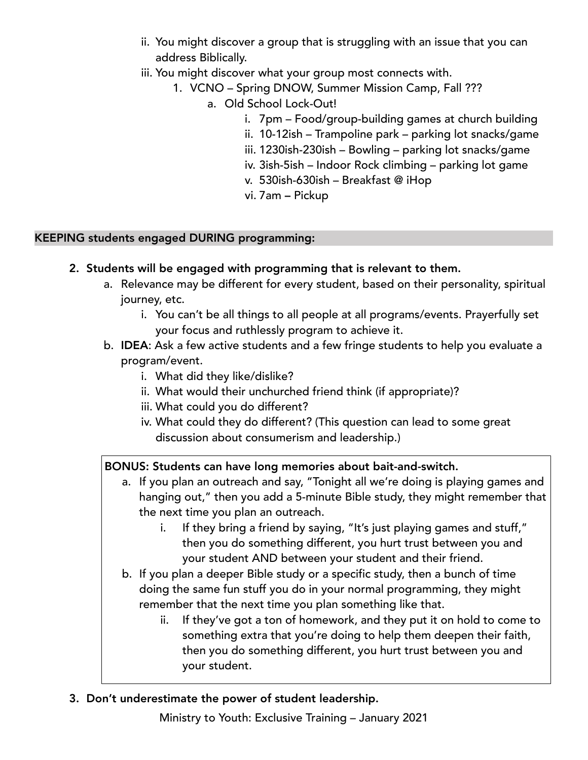- ii. You might discover a group that is struggling with an issue that you can address Biblically.
- iii. You might discover what your group most connects with.
	- 1. VCNO Spring DNOW, Summer Mission Camp, Fall ???
		- a. Old School Lock-Out!
			- i. 7pm Food/group-building games at church building
			- ii. 10-12ish Trampoline park parking lot snacks/game
			- iii. 1230ish-230ish Bowling parking lot snacks/game
			- iv. 3ish-5ish Indoor Rock climbing parking lot game
			- v. 530ish-630ish Breakfast @ iHop
			- vi. 7am Pickup

#### KEEPING students engaged DURING programming:

- 2. Students will be engaged with programming that is relevant to them.
	- a. Relevance may be different for every student, based on their personality, spiritual journey, etc.
		- i. You can't be all things to all people at all programs/events. Prayerfully set your focus and ruthlessly program to achieve it.
	- b. IDEA: Ask a few active students and a few fringe students to help you evaluate a program/event.
		- i. What did they like/dislike?
		- ii. What would their unchurched friend think (if appropriate)?
		- iii. What could you do different?
		- iv. What could they do different? (This question can lead to some great discussion about consumerism and leadership.)

## BONUS: Students can have long memories about bait-and-switch.

- a. If you plan an outreach and say, "Tonight all we're doing is playing games and hanging out," then you add a 5-minute Bible study, they might remember that the next time you plan an outreach.
	- i. If they bring a friend by saying, "It's just playing games and stuff," then you do something different, you hurt trust between you and your student AND between your student and their friend.
- b. If you plan a deeper Bible study or a specific study, then a bunch of time doing the same fun stuff you do in your normal programming, they might remember that the next time you plan something like that.
	- ii. If they've got a ton of homework, and they put it on hold to come to something extra that you're doing to help them deepen their faith, then you do something different, you hurt trust between you and your student.

## 3. Don't underestimate the power of student leadership.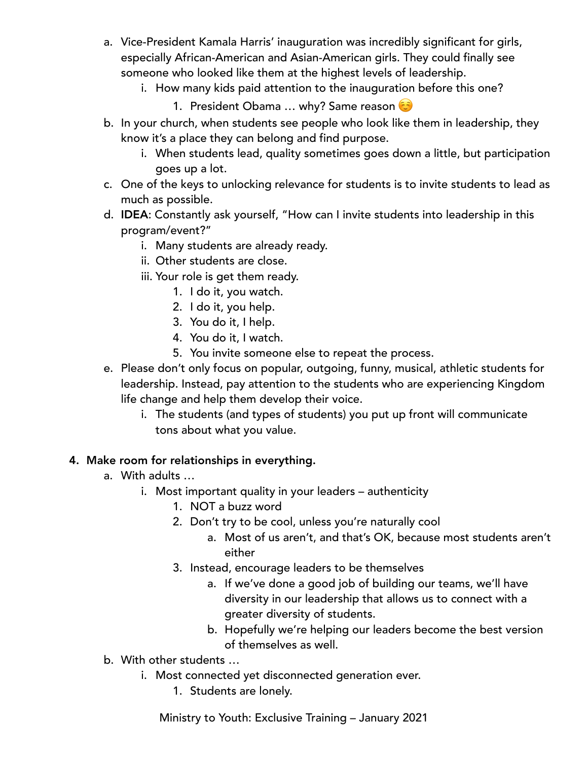- a. Vice-President Kamala Harris' inauguration was incredibly significant for girls, especially African-American and Asian-American girls. They could finally see someone who looked like them at the highest levels of leadership.
	- i. How many kids paid attention to the inauguration before this one?
		- 1. President Obama ... why? Same reason
- b. In your church, when students see people who look like them in leadership, they know it's a place they can belong and find purpose.
	- i. When students lead, quality sometimes goes down a little, but participation goes up a lot.
- c. One of the keys to unlocking relevance for students is to invite students to lead as much as possible.
- d. IDEA: Constantly ask yourself, "How can I invite students into leadership in this program/event?"
	- i. Many students are already ready.
	- ii. Other students are close.
	- iii. Your role is get them ready.
		- 1. I do it, you watch.
		- 2. I do it, you help.
		- 3. You do it, I help.
		- 4. You do it, I watch.
		- 5. You invite someone else to repeat the process.
- e. Please don't only focus on popular, outgoing, funny, musical, athletic students for leadership. Instead, pay attention to the students who are experiencing Kingdom life change and help them develop their voice.
	- i. The students (and types of students) you put up front will communicate tons about what you value.

## 4. Make room for relationships in everything.

- a. With adults …
	- i. Most important quality in your leaders authenticity
		- 1. NOT a buzz word
		- 2. Don't try to be cool, unless you're naturally cool
			- a. Most of us aren't, and that's OK, because most students aren't either
		- 3. Instead, encourage leaders to be themselves
			- a. If we've done a good job of building our teams, we'll have diversity in our leadership that allows us to connect with a greater diversity of students.
			- b. Hopefully we're helping our leaders become the best version of themselves as well.
- b. With other students …
	- i. Most connected yet disconnected generation ever.
		- 1. Students are lonely.

Ministry to Youth: Exclusive Training – January 2021